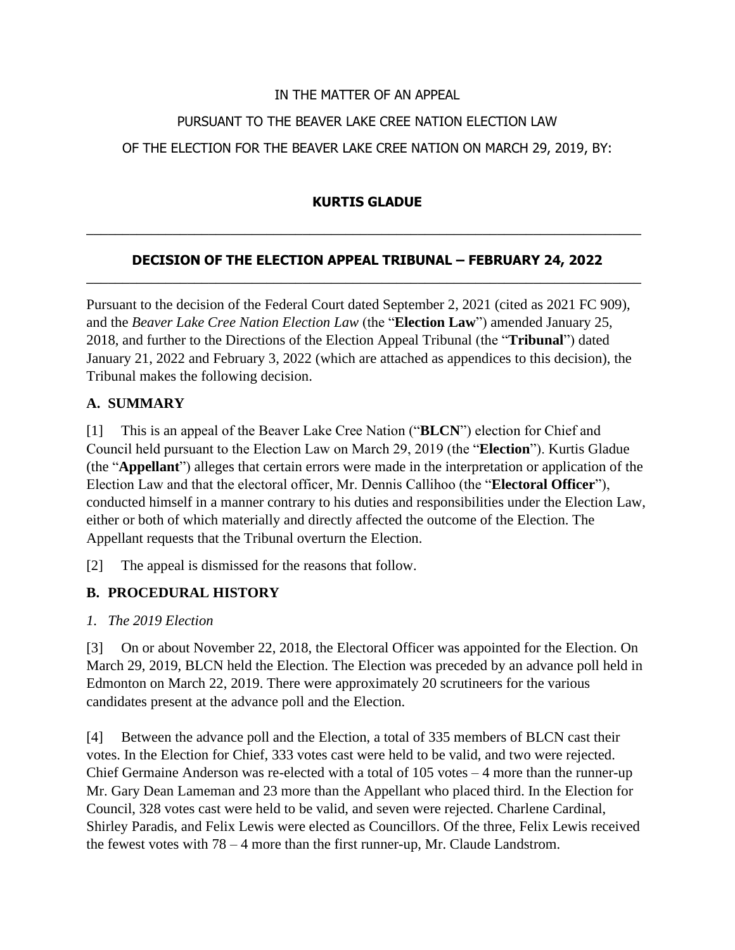# IN THE MATTER OF AN APPEAL PURSUANT TO THE BEAVER LAKE CREE NATION ELECTION LAW OF THE ELECTION FOR THE BEAVER LAKE CREE NATION ON MARCH 29, 2019, BY:

### **KURTIS GLADUE**

 $\_$  , and the set of the set of the set of the set of the set of the set of the set of the set of the set of the set of the set of the set of the set of the set of the set of the set of the set of the set of the set of th

#### **DECISION OF THE ELECTION APPEAL TRIBUNAL – FEBRUARY 24, 2022** \_\_\_\_\_\_\_\_\_\_\_\_\_\_\_\_\_\_\_\_\_\_\_\_\_\_\_\_\_\_\_\_\_\_\_\_\_\_\_\_\_\_\_\_\_\_\_\_\_\_\_\_\_\_\_\_\_\_\_\_\_\_\_\_\_\_\_\_\_\_\_\_\_\_\_\_\_

Pursuant to the decision of the Federal Court dated September 2, 2021 (cited as 2021 FC 909), and the *Beaver Lake Cree Nation Election Law* (the "**Election Law**") amended January 25, 2018, and further to the Directions of the Election Appeal Tribunal (the "**Tribunal**") dated January 21, 2022 and February 3, 2022 (which are attached as appendices to this decision), the Tribunal makes the following decision.

### **A. SUMMARY**

[1] This is an appeal of the Beaver Lake Cree Nation ("**BLCN**") election for Chief and Council held pursuant to the Election Law on March 29, 2019 (the "**Election**"). Kurtis Gladue (the "**Appellant**") alleges that certain errors were made in the interpretation or application of the Election Law and that the electoral officer, Mr. Dennis Callihoo (the "**Electoral Officer**"), conducted himself in a manner contrary to his duties and responsibilities under the Election Law, either or both of which materially and directly affected the outcome of the Election. The Appellant requests that the Tribunal overturn the Election.

[2] The appeal is dismissed for the reasons that follow.

### **B. PROCEDURAL HISTORY**

*1. The 2019 Election*

[3] On or about November 22, 2018, the Electoral Officer was appointed for the Election. On March 29, 2019, BLCN held the Election. The Election was preceded by an advance poll held in Edmonton on March 22, 2019. There were approximately 20 scrutineers for the various candidates present at the advance poll and the Election.

[4] Between the advance poll and the Election, a total of 335 members of BLCN cast their votes. In the Election for Chief, 333 votes cast were held to be valid, and two were rejected. Chief Germaine Anderson was re-elected with a total of 105 votes – 4 more than the runner-up Mr. Gary Dean Lameman and 23 more than the Appellant who placed third. In the Election for Council, 328 votes cast were held to be valid, and seven were rejected. Charlene Cardinal, Shirley Paradis, and Felix Lewis were elected as Councillors. Of the three, Felix Lewis received the fewest votes with 78 – 4 more than the first runner-up, Mr. Claude Landstrom.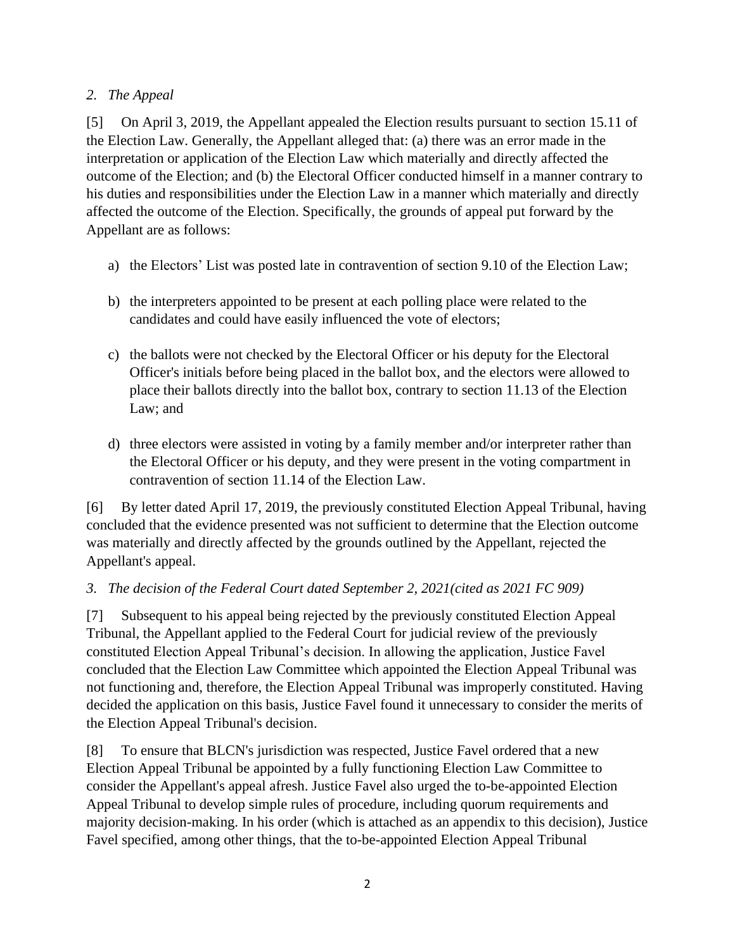### *2. The Appeal*

[5] On April 3, 2019, the Appellant appealed the Election results pursuant to section 15.11 of the Election Law. Generally, the Appellant alleged that: (a) there was an error made in the interpretation or application of the Election Law which materially and directly affected the outcome of the Election; and (b) the Electoral Officer conducted himself in a manner contrary to his duties and responsibilities under the Election Law in a manner which materially and directly affected the outcome of the Election. Specifically, the grounds of appeal put forward by the Appellant are as follows:

- a) the Electors' List was posted late in contravention of section 9.10 of the Election Law;
- b) the interpreters appointed to be present at each polling place were related to the candidates and could have easily influenced the vote of electors;
- c) the ballots were not checked by the Electoral Officer or his deputy for the Electoral Officer's initials before being placed in the ballot box, and the electors were allowed to place their ballots directly into the ballot box, contrary to section 11.13 of the Election Law; and
- d) three electors were assisted in voting by a family member and/or interpreter rather than the Electoral Officer or his deputy, and they were present in the voting compartment in contravention of section 11.14 of the Election Law.

[6] By letter dated April 17, 2019, the previously constituted Election Appeal Tribunal, having concluded that the evidence presented was not sufficient to determine that the Election outcome was materially and directly affected by the grounds outlined by the Appellant, rejected the Appellant's appeal.

### *3. The decision of the Federal Court dated September 2, 2021(cited as 2021 FC 909)*

[7] Subsequent to his appeal being rejected by the previously constituted Election Appeal Tribunal, the Appellant applied to the Federal Court for judicial review of the previously constituted Election Appeal Tribunal's decision. In allowing the application, Justice Favel concluded that the Election Law Committee which appointed the Election Appeal Tribunal was not functioning and, therefore, the Election Appeal Tribunal was improperly constituted. Having decided the application on this basis, Justice Favel found it unnecessary to consider the merits of the Election Appeal Tribunal's decision.

[8] To ensure that BLCN's jurisdiction was respected, Justice Favel ordered that a new Election Appeal Tribunal be appointed by a fully functioning Election Law Committee to consider the Appellant's appeal afresh. Justice Favel also urged the to-be-appointed Election Appeal Tribunal to develop simple rules of procedure, including quorum requirements and majority decision-making. In his order (which is attached as an appendix to this decision), Justice Favel specified, among other things, that the to-be-appointed Election Appeal Tribunal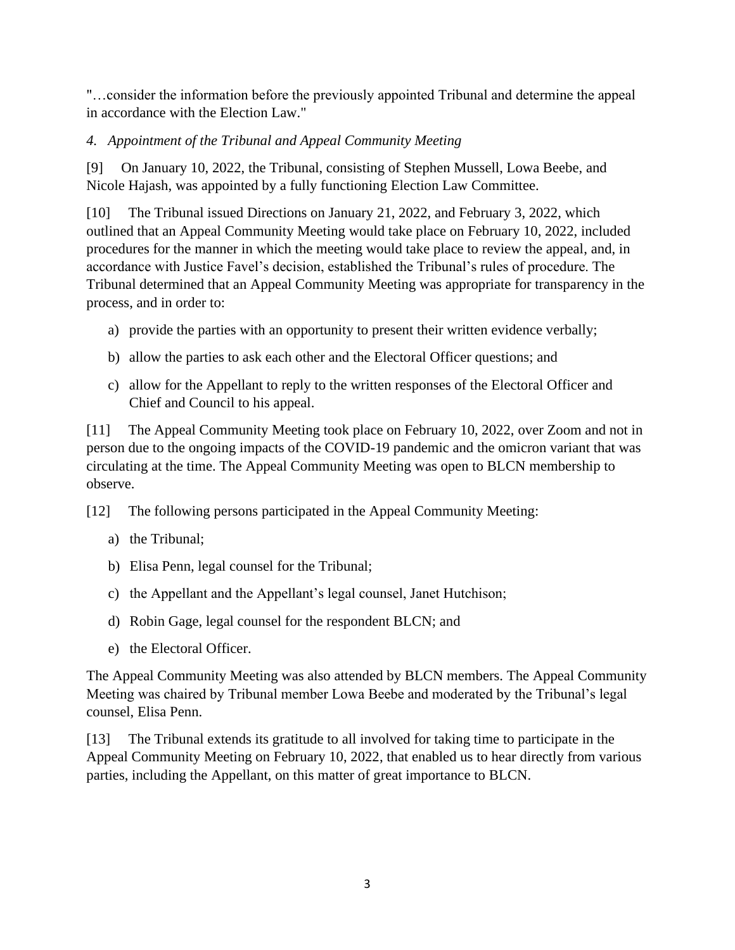"…consider the information before the previously appointed Tribunal and determine the appeal in accordance with the Election Law."

### *4. Appointment of the Tribunal and Appeal Community Meeting*

[9] On January 10, 2022, the Tribunal, consisting of Stephen Mussell, Lowa Beebe, and Nicole Hajash, was appointed by a fully functioning Election Law Committee.

[10] The Tribunal issued Directions on January 21, 2022, and February 3, 2022, which outlined that an Appeal Community Meeting would take place on February 10, 2022, included procedures for the manner in which the meeting would take place to review the appeal, and, in accordance with Justice Favel's decision, established the Tribunal's rules of procedure. The Tribunal determined that an Appeal Community Meeting was appropriate for transparency in the process, and in order to:

- a) provide the parties with an opportunity to present their written evidence verbally;
- b) allow the parties to ask each other and the Electoral Officer questions; and
- c) allow for the Appellant to reply to the written responses of the Electoral Officer and Chief and Council to his appeal.

[11] The Appeal Community Meeting took place on February 10, 2022, over Zoom and not in person due to the ongoing impacts of the COVID-19 pandemic and the omicron variant that was circulating at the time. The Appeal Community Meeting was open to BLCN membership to observe.

[12] The following persons participated in the Appeal Community Meeting:

- a) the Tribunal;
- b) Elisa Penn, legal counsel for the Tribunal;
- c) the Appellant and the Appellant's legal counsel, Janet Hutchison;
- d) Robin Gage, legal counsel for the respondent BLCN; and
- e) the Electoral Officer.

The Appeal Community Meeting was also attended by BLCN members. The Appeal Community Meeting was chaired by Tribunal member Lowa Beebe and moderated by the Tribunal's legal counsel, Elisa Penn.

[13] The Tribunal extends its gratitude to all involved for taking time to participate in the Appeal Community Meeting on February 10, 2022, that enabled us to hear directly from various parties, including the Appellant, on this matter of great importance to BLCN.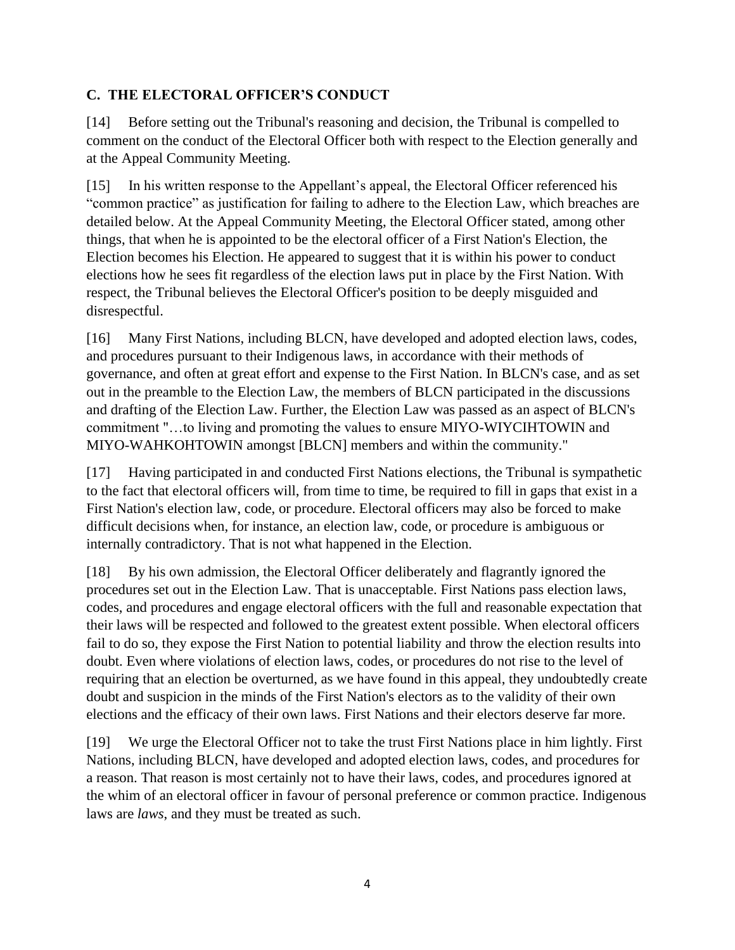### **C. THE ELECTORAL OFFICER'S CONDUCT**

[14] Before setting out the Tribunal's reasoning and decision, the Tribunal is compelled to comment on the conduct of the Electoral Officer both with respect to the Election generally and at the Appeal Community Meeting.

[15] In his written response to the Appellant's appeal, the Electoral Officer referenced his "common practice" as justification for failing to adhere to the Election Law, which breaches are detailed below. At the Appeal Community Meeting, the Electoral Officer stated, among other things, that when he is appointed to be the electoral officer of a First Nation's Election, the Election becomes his Election. He appeared to suggest that it is within his power to conduct elections how he sees fit regardless of the election laws put in place by the First Nation. With respect, the Tribunal believes the Electoral Officer's position to be deeply misguided and disrespectful.

[16] Many First Nations, including BLCN, have developed and adopted election laws, codes, and procedures pursuant to their Indigenous laws, in accordance with their methods of governance, and often at great effort and expense to the First Nation. In BLCN's case, and as set out in the preamble to the Election Law, the members of BLCN participated in the discussions and drafting of the Election Law. Further, the Election Law was passed as an aspect of BLCN's commitment "…to living and promoting the values to ensure MIYO-WIYCIHTOWIN and MIYO-WAHKOHTOWIN amongst [BLCN] members and within the community."

[17] Having participated in and conducted First Nations elections, the Tribunal is sympathetic to the fact that electoral officers will, from time to time, be required to fill in gaps that exist in a First Nation's election law, code, or procedure. Electoral officers may also be forced to make difficult decisions when, for instance, an election law, code, or procedure is ambiguous or internally contradictory. That is not what happened in the Election.

[18] By his own admission, the Electoral Officer deliberately and flagrantly ignored the procedures set out in the Election Law. That is unacceptable. First Nations pass election laws, codes, and procedures and engage electoral officers with the full and reasonable expectation that their laws will be respected and followed to the greatest extent possible. When electoral officers fail to do so, they expose the First Nation to potential liability and throw the election results into doubt. Even where violations of election laws, codes, or procedures do not rise to the level of requiring that an election be overturned, as we have found in this appeal, they undoubtedly create doubt and suspicion in the minds of the First Nation's electors as to the validity of their own elections and the efficacy of their own laws. First Nations and their electors deserve far more.

[19] We urge the Electoral Officer not to take the trust First Nations place in him lightly. First Nations, including BLCN, have developed and adopted election laws, codes, and procedures for a reason. That reason is most certainly not to have their laws, codes, and procedures ignored at the whim of an electoral officer in favour of personal preference or common practice. Indigenous laws are *laws*, and they must be treated as such.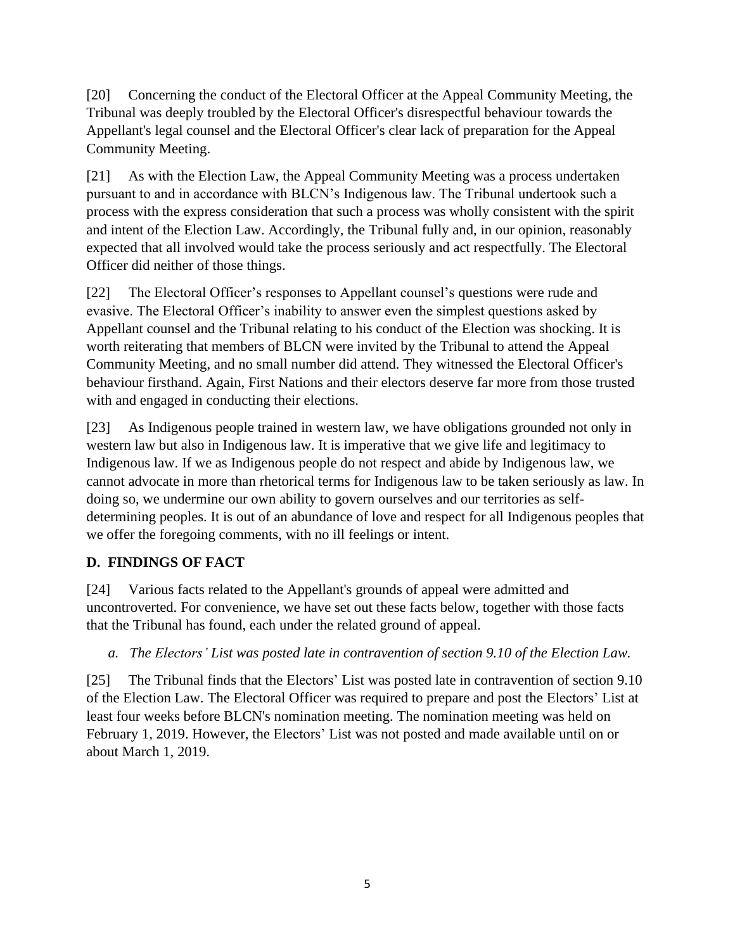[20] Concerning the conduct of the Electoral Officer at the Appeal Community Meeting, the Tribunal was deeply troubled by the Electoral Officer's disrespectful behaviour towards the Appellant's legal counsel and the Electoral Officer's clear lack of preparation for the Appeal Community Meeting.

[21] As with the Election Law, the Appeal Community Meeting was a process undertaken pursuant to and in accordance with BLCN's Indigenous law. The Tribunal undertook such a process with the express consideration that such a process was wholly consistent with the spirit and intent of the Election Law. Accordingly, the Tribunal fully and, in our opinion, reasonably expected that all involved would take the process seriously and act respectfully. The Electoral Officer did neither of those things.

[22] The Electoral Officer's responses to Appellant counsel's questions were rude and evasive. The Electoral Officer's inability to answer even the simplest questions asked by Appellant counsel and the Tribunal relating to his conduct of the Election was shocking. It is worth reiterating that members of BLCN were invited by the Tribunal to attend the Appeal Community Meeting, and no small number did attend. They witnessed the Electoral Officer's behaviour firsthand. Again, First Nations and their electors deserve far more from those trusted with and engaged in conducting their elections.

[23] As Indigenous people trained in western law, we have obligations grounded not only in western law but also in Indigenous law. It is imperative that we give life and legitimacy to Indigenous law. If we as Indigenous people do not respect and abide by Indigenous law, we cannot advocate in more than rhetorical terms for Indigenous law to be taken seriously as law. In doing so, we undermine our own ability to govern ourselves and our territories as selfdetermining peoples. It is out of an abundance of love and respect for all Indigenous peoples that we offer the foregoing comments, with no ill feelings or intent.

# **D. FINDINGS OF FACT**

[24] Various facts related to the Appellant's grounds of appeal were admitted and uncontroverted. For convenience, we have set out these facts below, together with those facts that the Tribunal has found, each under the related ground of appeal.

# *a. The Electors' List was posted late in contravention of section 9.10 of the Election Law.*

[25] The Tribunal finds that the Electors' List was posted late in contravention of section 9.10 of the Election Law. The Electoral Officer was required to prepare and post the Electors' List at least four weeks before BLCN's nomination meeting. The nomination meeting was held on February 1, 2019. However, the Electors' List was not posted and made available until on or about March 1, 2019.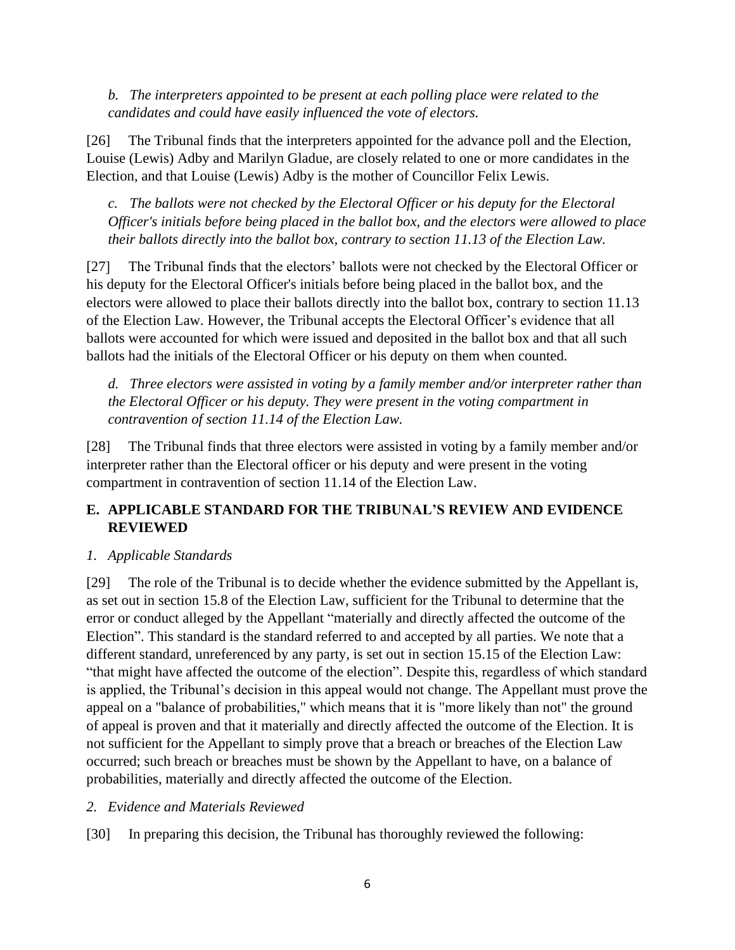*b. The interpreters appointed to be present at each polling place were related to the candidates and could have easily influenced the vote of electors.*

[26] The Tribunal finds that the interpreters appointed for the advance poll and the Election, Louise (Lewis) Adby and Marilyn Gladue, are closely related to one or more candidates in the Election, and that Louise (Lewis) Adby is the mother of Councillor Felix Lewis.

*c. The ballots were not checked by the Electoral Officer or his deputy for the Electoral Officer's initials before being placed in the ballot box, and the electors were allowed to place their ballots directly into the ballot box, contrary to section 11.13 of the Election Law.*

[27] The Tribunal finds that the electors' ballots were not checked by the Electoral Officer or his deputy for the Electoral Officer's initials before being placed in the ballot box, and the electors were allowed to place their ballots directly into the ballot box, contrary to section 11.13 of the Election Law. However, the Tribunal accepts the Electoral Officer's evidence that all ballots were accounted for which were issued and deposited in the ballot box and that all such ballots had the initials of the Electoral Officer or his deputy on them when counted.

*d. Three electors were assisted in voting by a family member and/or interpreter rather than the Electoral Officer or his deputy. They were present in the voting compartment in contravention of section 11.14 of the Election Law.*

[28] The Tribunal finds that three electors were assisted in voting by a family member and/or interpreter rather than the Electoral officer or his deputy and were present in the voting compartment in contravention of section 11.14 of the Election Law.

### **E. APPLICABLE STANDARD FOR THE TRIBUNAL'S REVIEW AND EVIDENCE REVIEWED**

### *1. Applicable Standards*

[29] The role of the Tribunal is to decide whether the evidence submitted by the Appellant is, as set out in section 15.8 of the Election Law, sufficient for the Tribunal to determine that the error or conduct alleged by the Appellant "materially and directly affected the outcome of the Election". This standard is the standard referred to and accepted by all parties. We note that a different standard, unreferenced by any party, is set out in section 15.15 of the Election Law: "that might have affected the outcome of the election". Despite this, regardless of which standard is applied, the Tribunal's decision in this appeal would not change. The Appellant must prove the appeal on a "balance of probabilities," which means that it is "more likely than not" the ground of appeal is proven and that it materially and directly affected the outcome of the Election. It is not sufficient for the Appellant to simply prove that a breach or breaches of the Election Law occurred; such breach or breaches must be shown by the Appellant to have, on a balance of probabilities, materially and directly affected the outcome of the Election.

### *2. Evidence and Materials Reviewed*

[30] In preparing this decision, the Tribunal has thoroughly reviewed the following: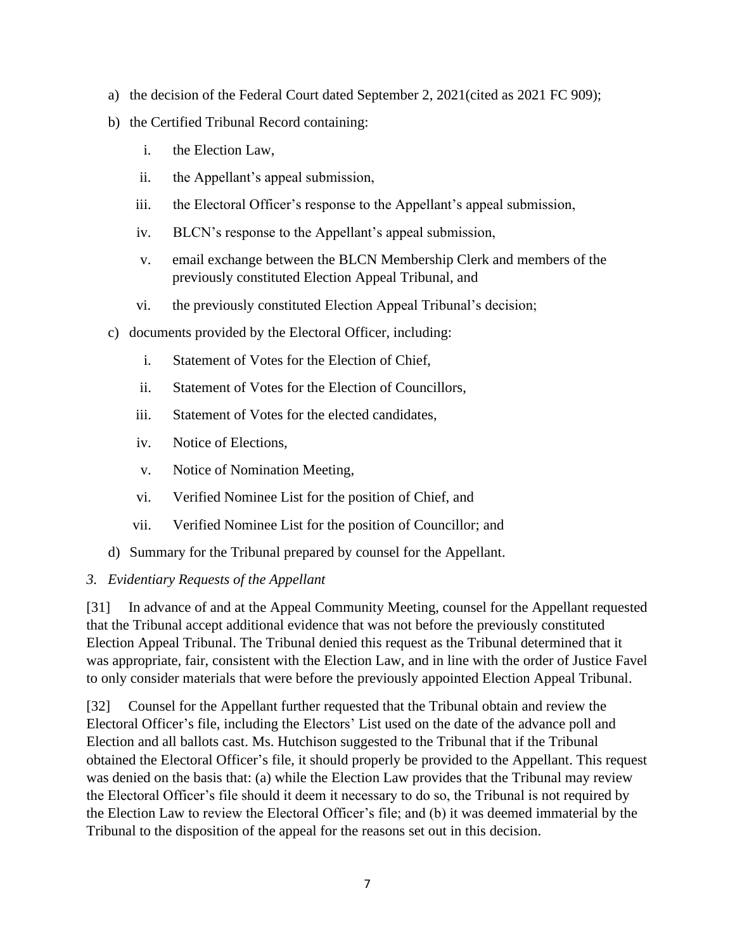- a) the decision of the Federal Court dated September 2, 2021(cited as 2021 FC 909);
- b) the Certified Tribunal Record containing:
	- i. the Election Law,
	- ii. the Appellant's appeal submission,
	- iii. the Electoral Officer's response to the Appellant's appeal submission,
	- iv. BLCN's response to the Appellant's appeal submission,
	- v. email exchange between the BLCN Membership Clerk and members of the previously constituted Election Appeal Tribunal, and
	- vi. the previously constituted Election Appeal Tribunal's decision;
- c) documents provided by the Electoral Officer, including:
	- i. Statement of Votes for the Election of Chief,
	- ii. Statement of Votes for the Election of Councillors,
	- iii. Statement of Votes for the elected candidates,
	- iv. Notice of Elections,
	- v. Notice of Nomination Meeting,
	- vi. Verified Nominee List for the position of Chief, and
	- vii. Verified Nominee List for the position of Councillor; and
- d) Summary for the Tribunal prepared by counsel for the Appellant.

#### *3. Evidentiary Requests of the Appellant*

[31] In advance of and at the Appeal Community Meeting, counsel for the Appellant requested that the Tribunal accept additional evidence that was not before the previously constituted Election Appeal Tribunal. The Tribunal denied this request as the Tribunal determined that it was appropriate, fair, consistent with the Election Law, and in line with the order of Justice Favel to only consider materials that were before the previously appointed Election Appeal Tribunal.

[32] Counsel for the Appellant further requested that the Tribunal obtain and review the Electoral Officer's file, including the Electors' List used on the date of the advance poll and Election and all ballots cast. Ms. Hutchison suggested to the Tribunal that if the Tribunal obtained the Electoral Officer's file, it should properly be provided to the Appellant. This request was denied on the basis that: (a) while the Election Law provides that the Tribunal may review the Electoral Officer's file should it deem it necessary to do so, the Tribunal is not required by the Election Law to review the Electoral Officer's file; and (b) it was deemed immaterial by the Tribunal to the disposition of the appeal for the reasons set out in this decision.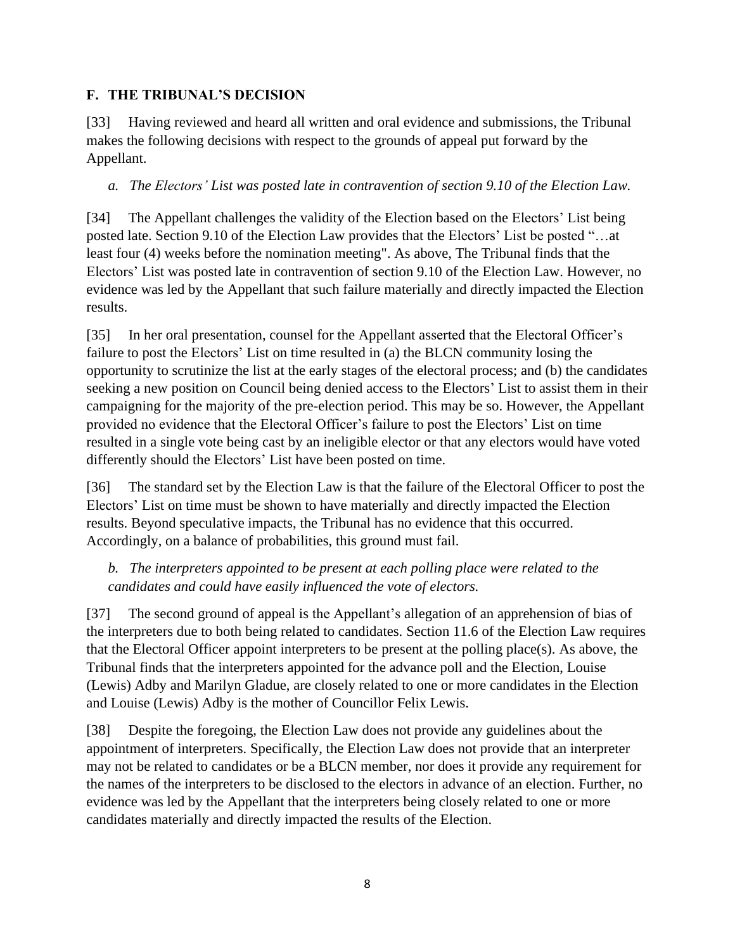### **F. THE TRIBUNAL'S DECISION**

[33] Having reviewed and heard all written and oral evidence and submissions, the Tribunal makes the following decisions with respect to the grounds of appeal put forward by the Appellant.

*a. The Electors' List was posted late in contravention of section 9.10 of the Election Law.*

[34] The Appellant challenges the validity of the Election based on the Electors' List being posted late. Section 9.10 of the Election Law provides that the Electors' List be posted "…at least four (4) weeks before the nomination meeting". As above, The Tribunal finds that the Electors' List was posted late in contravention of section 9.10 of the Election Law. However, no evidence was led by the Appellant that such failure materially and directly impacted the Election results.

[35] In her oral presentation, counsel for the Appellant asserted that the Electoral Officer's failure to post the Electors' List on time resulted in (a) the BLCN community losing the opportunity to scrutinize the list at the early stages of the electoral process; and (b) the candidates seeking a new position on Council being denied access to the Electors' List to assist them in their campaigning for the majority of the pre-election period. This may be so. However, the Appellant provided no evidence that the Electoral Officer's failure to post the Electors' List on time resulted in a single vote being cast by an ineligible elector or that any electors would have voted differently should the Electors' List have been posted on time.

[36] The standard set by the Election Law is that the failure of the Electoral Officer to post the Electors' List on time must be shown to have materially and directly impacted the Election results. Beyond speculative impacts, the Tribunal has no evidence that this occurred. Accordingly, on a balance of probabilities, this ground must fail.

*b. The interpreters appointed to be present at each polling place were related to the candidates and could have easily influenced the vote of electors.*

[37] The second ground of appeal is the Appellant's allegation of an apprehension of bias of the interpreters due to both being related to candidates. Section 11.6 of the Election Law requires that the Electoral Officer appoint interpreters to be present at the polling place(s). As above, the Tribunal finds that the interpreters appointed for the advance poll and the Election, Louise (Lewis) Adby and Marilyn Gladue, are closely related to one or more candidates in the Election and Louise (Lewis) Adby is the mother of Councillor Felix Lewis.

[38] Despite the foregoing, the Election Law does not provide any guidelines about the appointment of interpreters. Specifically, the Election Law does not provide that an interpreter may not be related to candidates or be a BLCN member, nor does it provide any requirement for the names of the interpreters to be disclosed to the electors in advance of an election. Further, no evidence was led by the Appellant that the interpreters being closely related to one or more candidates materially and directly impacted the results of the Election.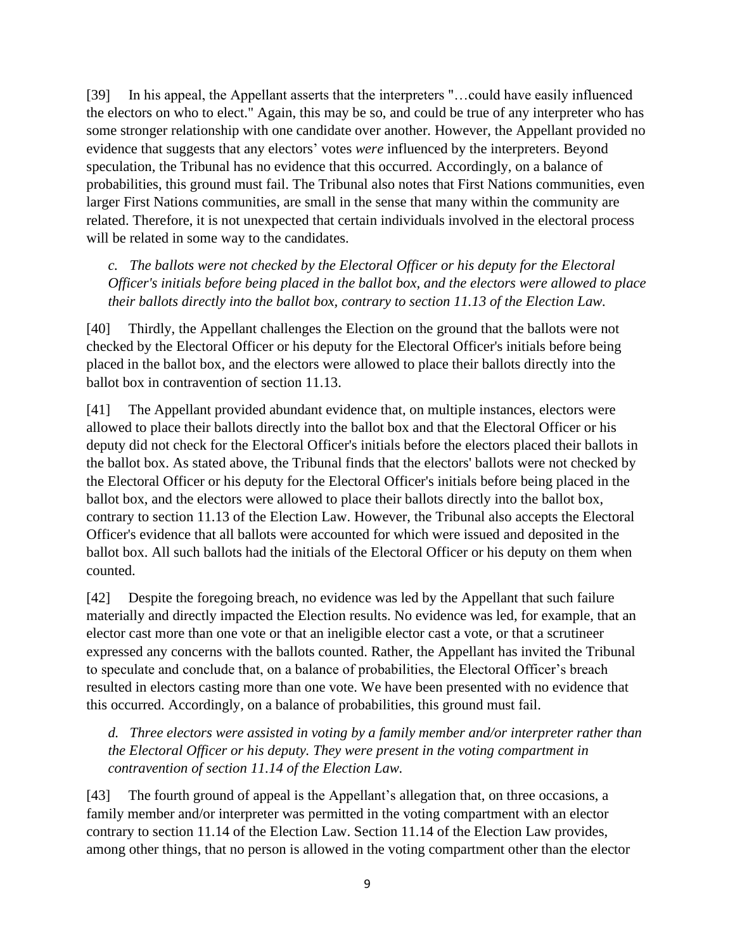[39] In his appeal, the Appellant asserts that the interpreters "...could have easily influenced the electors on who to elect." Again, this may be so, and could be true of any interpreter who has some stronger relationship with one candidate over another. However, the Appellant provided no evidence that suggests that any electors' votes *were* influenced by the interpreters. Beyond speculation, the Tribunal has no evidence that this occurred. Accordingly, on a balance of probabilities, this ground must fail. The Tribunal also notes that First Nations communities, even larger First Nations communities, are small in the sense that many within the community are related. Therefore, it is not unexpected that certain individuals involved in the electoral process will be related in some way to the candidates.

*c. The ballots were not checked by the Electoral Officer or his deputy for the Electoral Officer's initials before being placed in the ballot box, and the electors were allowed to place their ballots directly into the ballot box, contrary to section 11.13 of the Election Law.*

[40] Thirdly, the Appellant challenges the Election on the ground that the ballots were not checked by the Electoral Officer or his deputy for the Electoral Officer's initials before being placed in the ballot box, and the electors were allowed to place their ballots directly into the ballot box in contravention of section 11.13.

[41] The Appellant provided abundant evidence that, on multiple instances, electors were allowed to place their ballots directly into the ballot box and that the Electoral Officer or his deputy did not check for the Electoral Officer's initials before the electors placed their ballots in the ballot box. As stated above, the Tribunal finds that the electors' ballots were not checked by the Electoral Officer or his deputy for the Electoral Officer's initials before being placed in the ballot box, and the electors were allowed to place their ballots directly into the ballot box, contrary to section 11.13 of the Election Law. However, the Tribunal also accepts the Electoral Officer's evidence that all ballots were accounted for which were issued and deposited in the ballot box. All such ballots had the initials of the Electoral Officer or his deputy on them when counted.

[42] Despite the foregoing breach, no evidence was led by the Appellant that such failure materially and directly impacted the Election results. No evidence was led, for example, that an elector cast more than one vote or that an ineligible elector cast a vote, or that a scrutineer expressed any concerns with the ballots counted. Rather, the Appellant has invited the Tribunal to speculate and conclude that, on a balance of probabilities, the Electoral Officer's breach resulted in electors casting more than one vote. We have been presented with no evidence that this occurred. Accordingly, on a balance of probabilities, this ground must fail.

*d. Three electors were assisted in voting by a family member and/or interpreter rather than the Electoral Officer or his deputy. They were present in the voting compartment in contravention of section 11.14 of the Election Law.*

[43] The fourth ground of appeal is the Appellant's allegation that, on three occasions, a family member and/or interpreter was permitted in the voting compartment with an elector contrary to section 11.14 of the Election Law. Section 11.14 of the Election Law provides, among other things, that no person is allowed in the voting compartment other than the elector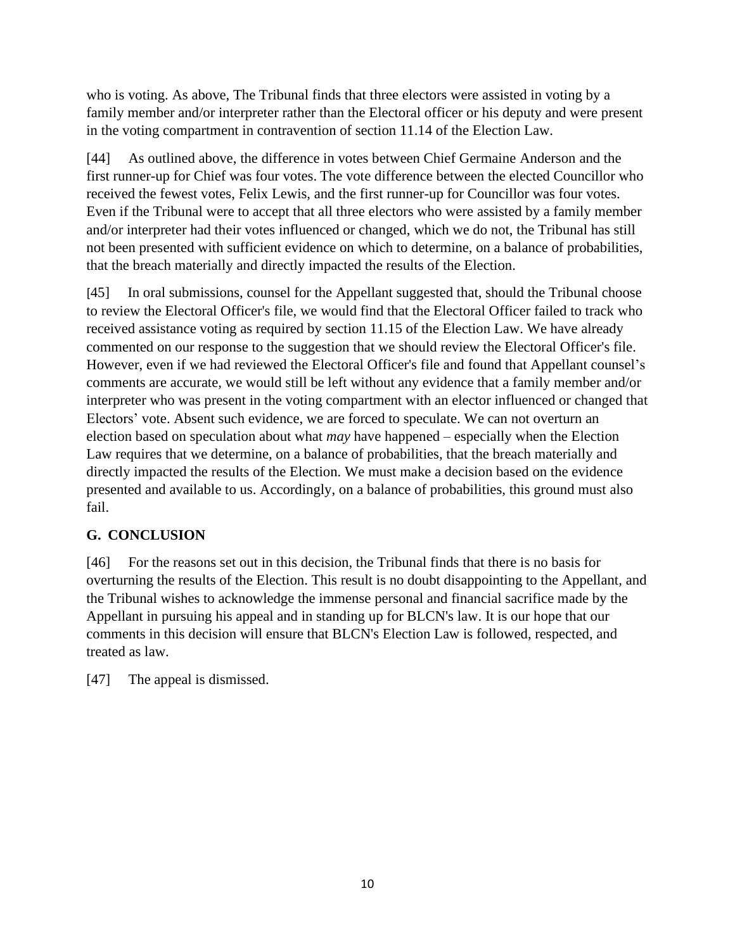who is voting. As above, The Tribunal finds that three electors were assisted in voting by a family member and/or interpreter rather than the Electoral officer or his deputy and were present in the voting compartment in contravention of section 11.14 of the Election Law.

[44] As outlined above, the difference in votes between Chief Germaine Anderson and the first runner-up for Chief was four votes. The vote difference between the elected Councillor who received the fewest votes, Felix Lewis, and the first runner-up for Councillor was four votes. Even if the Tribunal were to accept that all three electors who were assisted by a family member and/or interpreter had their votes influenced or changed, which we do not, the Tribunal has still not been presented with sufficient evidence on which to determine, on a balance of probabilities, that the breach materially and directly impacted the results of the Election.

[45] In oral submissions, counsel for the Appellant suggested that, should the Tribunal choose to review the Electoral Officer's file, we would find that the Electoral Officer failed to track who received assistance voting as required by section 11.15 of the Election Law. We have already commented on our response to the suggestion that we should review the Electoral Officer's file. However, even if we had reviewed the Electoral Officer's file and found that Appellant counsel's comments are accurate, we would still be left without any evidence that a family member and/or interpreter who was present in the voting compartment with an elector influenced or changed that Electors' vote. Absent such evidence, we are forced to speculate. We can not overturn an election based on speculation about what *may* have happened – especially when the Election Law requires that we determine, on a balance of probabilities, that the breach materially and directly impacted the results of the Election. We must make a decision based on the evidence presented and available to us. Accordingly, on a balance of probabilities, this ground must also fail.

### **G. CONCLUSION**

[46] For the reasons set out in this decision, the Tribunal finds that there is no basis for overturning the results of the Election. This result is no doubt disappointing to the Appellant, and the Tribunal wishes to acknowledge the immense personal and financial sacrifice made by the Appellant in pursuing his appeal and in standing up for BLCN's law. It is our hope that our comments in this decision will ensure that BLCN's Election Law is followed, respected, and treated as law.

[47] The appeal is dismissed.